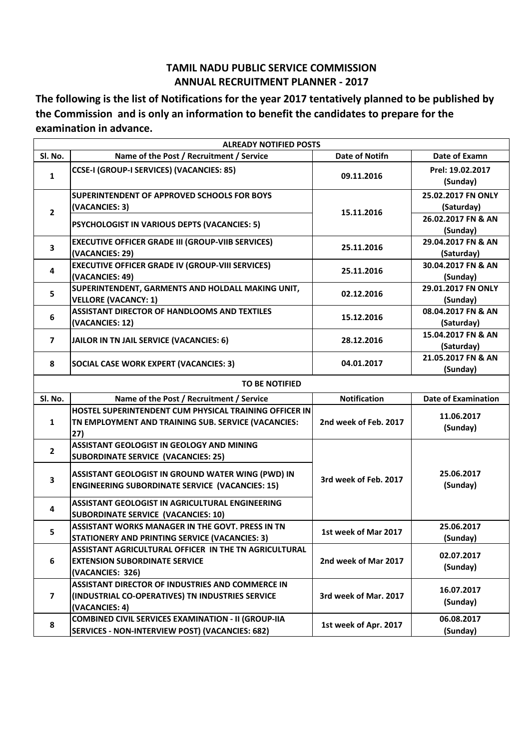## **TAMIL NADU PUBLIC SERVICE COMMISSION ANNUAL RECRUITMENT PLANNER - 2017**

**The following is the list of Notifications for the year 2017 tentatively planned to be published by the Commission and is only an information to benefit the candidates to prepare for the examination in advance.**

| <b>ALREADY NOTIFIED POSTS</b> |                                                                                                                        |                       |                                  |  |
|-------------------------------|------------------------------------------------------------------------------------------------------------------------|-----------------------|----------------------------------|--|
| Sl. No.                       | Name of the Post / Recruitment / Service                                                                               | <b>Date of Notifn</b> | Date of Examn                    |  |
| $\mathbf{1}$                  | CCSE-I (GROUP-I SERVICES) (VACANCIES: 85)                                                                              | 09.11.2016            | Prel: 19.02.2017<br>(Sunday)     |  |
| $\overline{2}$                | <b>SUPERINTENDENT OF APPROVED SCHOOLS FOR BOYS</b><br>(VACANCIES: 3)                                                   | 15.11.2016            | 25.02.2017 FN ONLY<br>(Saturday) |  |
|                               | PSYCHOLOGIST IN VARIOUS DEPTS (VACANCIES: 5)                                                                           |                       | 26.02.2017 FN & AN<br>(Sunday)   |  |
| 3                             | <b>EXECUTIVE OFFICER GRADE III (GROUP-VIIB SERVICES)</b><br>(VACANCIES: 29)                                            | 25.11.2016            | 29.04.2017 FN & AN<br>(Saturday) |  |
| 4                             | <b>EXECUTIVE OFFICER GRADE IV (GROUP-VIII SERVICES)</b><br>(VACANCIES: 49)                                             | 25.11.2016            | 30.04.2017 FN & AN<br>(Sunday)   |  |
| 5                             | SUPERINTENDENT, GARMENTS AND HOLDALL MAKING UNIT,<br><b>VELLORE (VACANCY: 1)</b>                                       | 02.12.2016            | 29.01.2017 FN ONLY<br>(Sunday)   |  |
| 6                             | <b>ASSISTANT DIRECTOR OF HANDLOOMS AND TEXTILES</b><br>(VACANCIES: 12)                                                 | 15.12.2016            | 08.04.2017 FN & AN<br>(Saturday) |  |
| $\overline{ }$                | JAILOR IN TN JAIL SERVICE (VACANCIES: 6)                                                                               | 28.12.2016            | 15.04.2017 FN & AN<br>(Saturday) |  |
| 8                             | <b>SOCIAL CASE WORK EXPERT (VACANCIES: 3)</b>                                                                          | 04.01.2017            | 21.05.2017 FN & AN<br>(Sunday)   |  |
|                               | <b>TO BE NOTIFIED</b>                                                                                                  |                       |                                  |  |
| Sl. No.                       | Name of the Post / Recruitment / Service                                                                               | <b>Notification</b>   | <b>Date of Examination</b>       |  |
|                               | HOSTEL SUPERINTENDENT CUM PHYSICAL TRAINING OFFICER IN                                                                 |                       |                                  |  |
| $\mathbf{1}$                  | TN EMPLOYMENT AND TRAINING SUB. SERVICE (VACANCIES:<br>27)                                                             | 2nd week of Feb. 2017 | 11.06.2017<br>(Sunday)           |  |
| $\overline{2}$                | ASSISTANT GEOLOGIST IN GEOLOGY AND MINING<br><b>SUBORDINATE SERVICE (VACANCIES: 25)</b>                                |                       |                                  |  |
| 3                             | ASSISTANT GEOLOGIST IN GROUND WATER WING (PWD) IN<br><b>ENGINEERING SUBORDINATE SERVICE (VACANCIES: 15)</b>            | 3rd week of Feb. 2017 | 25.06.2017<br>(Sunday)           |  |
| 4                             | ASSISTANT GEOLOGIST IN AGRICULTURAL ENGINEERING<br><b>SUBORDINATE SERVICE (VACANCIES: 10)</b>                          |                       |                                  |  |
| 5.                            | <b>ASSISTANT WORKS MANAGER IN THE GOVT. PRESS IN TN</b><br><b>STATIONERY AND PRINTING SERVICE (VACANCIES: 3)</b>       | 1st week of Mar 2017  | 25.06.2017<br>(Sunday)           |  |
| 6                             | ASSISTANT AGRICULTURAL OFFICER IN THE TN AGRICULTURAL<br><b>EXTENSION SUBORDINATE SERVICE</b><br>(VACANCIES: 326)      | 2nd week of Mar 2017  | 02.07.2017<br>(Sunday)           |  |
| $\mathbf{7}$                  | ASSISTANT DIRECTOR OF INDUSTRIES AND COMMERCE IN<br>(INDUSTRIAL CO-OPERATIVES) TN INDUSTRIES SERVICE<br>(VACANCIES: 4) | 3rd week of Mar. 2017 | 16.07.2017<br>(Sunday)           |  |
| 8                             | <b>COMBINED CIVIL SERVICES EXAMINATION - II (GROUP-IIA</b><br>SERVICES - NON-INTERVIEW POST) (VACANCIES: 682)          | 1st week of Apr. 2017 | 06.08.2017<br>(Sunday)           |  |